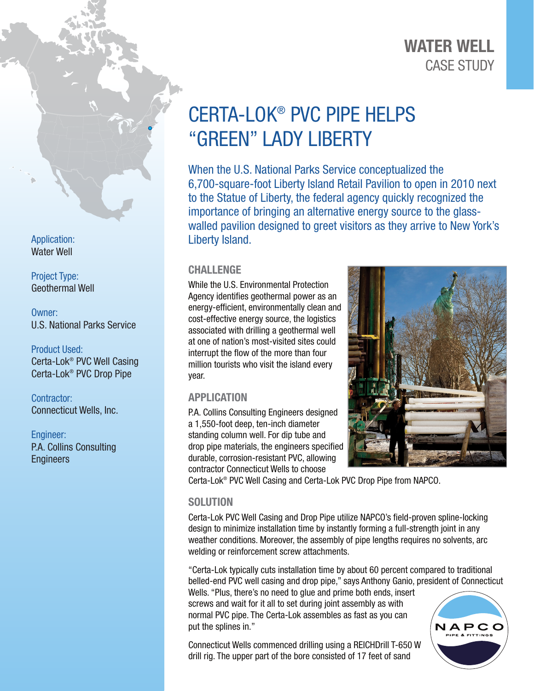## CASE STUDY WATER WELL

# CERTA-LOK® PVC PIPE HELPS "GREEN" LADY LIBERTY

When the U.S. National Parks Service conceptualized the 6,700-square-foot Liberty Island Retail Pavilion to open in 2010 next to the Statue of Liberty, the federal agency quickly recognized the importance of bringing an alternative energy source to the glasswalled pavilion designed to greet visitors as they arrive to New York's Liberty Island.

### **CHALLENGE**

While the U.S. Environmental Protection Agency identifies geothermal power as an energy-efficient, environmentally clean and cost-effective energy source, the logistics associated with drilling a geothermal well at one of nation's most-visited sites could interrupt the flow of the more than four million tourists who visit the island every year.

#### APPLICATION

P.A. Collins Consulting Engineers designed a 1,550-foot deep, ten-inch diameter standing column well. For dip tube and drop pipe materials, the engineers specified durable, corrosion-resistant PVC, allowing contractor Connecticut Wells to choose



Certa-Lok® PVC Well Casing and Certa-Lok PVC Drop Pipe from NAPCO.

#### **SOLUTION**

Certa-Lok PVC Well Casing and Drop Pipe utilize NAPCO's field-proven spline-locking design to minimize installation time by instantly forming a full-strength joint in any weather conditions. Moreover, the assembly of pipe lengths requires no solvents, arc welding or reinforcement screw attachments.

"Certa-Lok typically cuts installation time by about 60 percent compared to traditional belled-end PVC well casing and drop pipe," says Anthony Ganio, president of Connecticut

Wells. "Plus, there's no need to glue and prime both ends, insert screws and wait for it all to set during joint assembly as with normal PVC pipe. The Certa-Lok assembles as fast as you can put the splines in."

Connecticut Wells commenced drilling using a REICHDrill T-650 W drill rig. The upper part of the bore consisted of 17 feet of sand



Application: Water Well

Project Type: Geothermal Well

Owner: U.S. National Parks Service

Product Used: Certa-Lok® PVC Well Casing Certa-Lok® PVC Drop Pipe

Contractor: Connecticut Wells, Inc.

Engineer: P.A. Collins Consulting **Engineers**